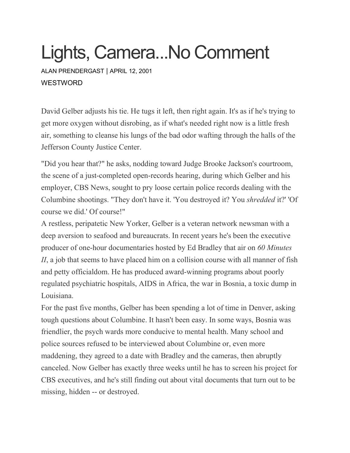## Lights, Camera...No Comment

ALAN [PRENDERGAST](https://www.westword.com/authors/alan-prendergast-5052731) | APRIL 12, 2001 **WESTWORD** 

David Gelber adjusts his tie. He tugs it left, then right again. It's as if he's trying to get more oxygen without disrobing, as if what's needed right now is a little fresh air, something to cleanse his lungs of the bad odor wafting through the halls of the Jefferson County Justice Center.

"Did you hear that?" he asks, nodding toward Judge Brooke Jackson's courtroom, the scene of a just-completed open-records hearing, during which Gelber and his employer, CBS News, sought to pry loose certain police records dealing with the Columbine shootings. "They don't have it. 'You destroyed it? You *shredded* it?' 'Of course we did.' Of course!"

A restless, peripatetic New Yorker, Gelber is a veteran network newsman with a deep aversion to seafood and bureaucrats. In recent years he's been the executive producer of one-hour documentaries hosted by Ed Bradley that air on *60 Minutes II*, a job that seems to have placed him on a collision course with all manner of fish and petty officialdom. He has produced award-winning programs about poorly regulated psychiatric hospitals, AIDS in Africa, the war in Bosnia, a toxic dump in Louisiana.

For the past five months, Gelber has been spending a lot of time in Denver, asking tough questions about Columbine. It hasn't been easy. In some ways, Bosnia was friendlier, the psych wards more conducive to mental health. Many school and police sources refused to be interviewed about Columbine or, even more maddening, they agreed to a date with Bradley and the cameras, then abruptly canceled. Now Gelber has exactly three weeks until he has to screen his project for CBS executives, and he's still finding out about vital documents that turn out to be missing, hidden -- or destroyed.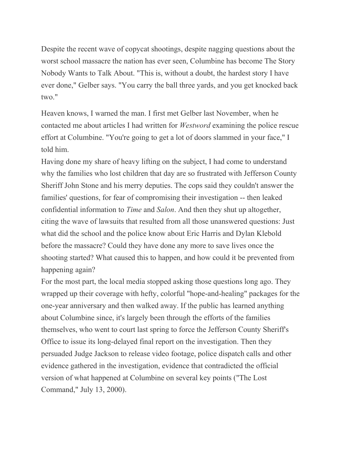Despite the recent wave of copycat shootings, despite nagging questions about the worst school massacre the nation has ever seen, Columbine has become The Story Nobody Wants to Talk About. "This is, without a doubt, the hardest story I have ever done," Gelber says. "You carry the ball three yards, and you get knocked back two."

Heaven knows, I warned the man. I first met Gelber last November, when he contacted me about articles I had written for *Westword* examining the police rescue effort at Columbine. "You're going to get a lot of doors slammed in your face," I told him.

Having done my share of heavy lifting on the subject, I had come to understand why the families who lost children that day are so frustrated with Jefferson County Sheriff John Stone and his merry deputies. The cops said they couldn't answer the families' questions, for fear of compromising their investigation -- then leaked confidential information to *Time* and *Salon*. And then they shut up altogether, citing the wave of lawsuits that resulted from all those unanswered questions: Just what did the school and the police know about Eric Harris and Dylan Klebold before the massacre? Could they have done any more to save lives once the shooting started? What caused this to happen, and how could it be prevented from happening again?

For the most part, the local media stopped asking those questions long ago. They wrapped up their coverage with hefty, colorful "hope-and-healing" packages for the one-year anniversary and then walked away. If the public has learned anything about Columbine since, it's largely been through the efforts of the families themselves, who went to court last spring to force the Jefferson County Sheriff's Office to issue its long-delayed final report on the investigation. Then they persuaded Judge Jackson to release video footage, police dispatch calls and other evidence gathered in the investigation, evidence that contradicted the official version of what happened at Columbine on several key points ("The Lost Command," July 13, 2000).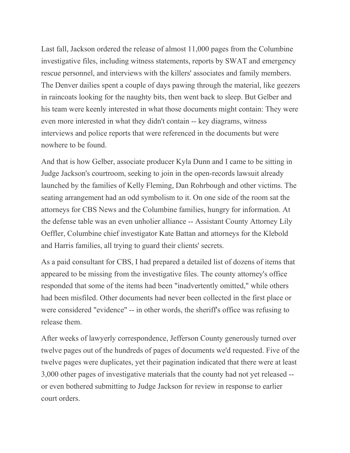Last fall, Jackson ordered the release of almost 11,000 pages from the Columbine investigative files, including witness statements, reports by SWAT and emergency rescue personnel, and interviews with the killers' associates and family members. The Denver dailies spent a couple of days pawing through the material, like geezers in raincoats looking for the naughty bits, then went back to sleep. But Gelber and his team were keenly interested in what those documents might contain: They were even more interested in what they didn't contain -- key diagrams, witness interviews and police reports that were referenced in the documents but were nowhere to be found.

And that is how Gelber, associate producer Kyla Dunn and I came to be sitting in Judge Jackson's courtroom, seeking to join in the open-records lawsuit already launched by the families of Kelly Fleming, Dan Rohrbough and other victims. The seating arrangement had an odd symbolism to it. On one side of the room sat the attorneys for CBS News and the Columbine families, hungry for information. At the defense table was an even unholier alliance -- Assistant County Attorney Lily Oeffler, Columbine chief investigator Kate Battan and attorneys for the Klebold and Harris families, all trying to guard their clients' secrets.

As a paid consultant for CBS, I had prepared a detailed list of dozens of items that appeared to be missing from the investigative files. The county attorney's office responded that some of the items had been "inadvertently omitted," while others had been misfiled. Other documents had never been collected in the first place or were considered "evidence" -- in other words, the sheriff's office was refusing to release them.

After weeks of lawyerly correspondence, Jefferson County generously turned over twelve pages out of the hundreds of pages of documents we'd requested. Five of the twelve pages were duplicates, yet their pagination indicated that there were at least 3,000 other pages of investigative materials that the county had not yet released - or even bothered submitting to Judge Jackson for review in response to earlier court orders.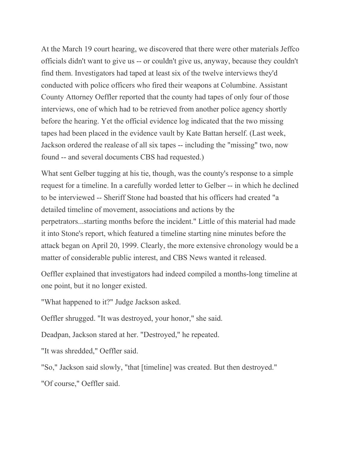At the March 19 court hearing, we discovered that there were other materials Jeffco officials didn't want to give us -- or couldn't give us, anyway, because they couldn't find them. Investigators had taped at least six of the twelve interviews they'd conducted with police officers who fired their weapons at Columbine. Assistant County Attorney Oeffler reported that the county had tapes of only four of those interviews, one of which had to be retrieved from another police agency shortly before the hearing. Yet the official evidence log indicated that the two missing tapes had been placed in the evidence vault by Kate Battan herself. (Last week, Jackson ordered the realease of all six tapes -- including the "missing" two, now found -- and several documents CBS had requested.)

What sent Gelber tugging at his tie, though, was the county's response to a simple request for a timeline. In a carefully worded letter to Gelber -- in which he declined to be interviewed -- Sheriff Stone had boasted that his officers had created "a detailed timeline of movement, associations and actions by the perpetrators...starting months before the incident." Little of this material had made it into Stone's report, which featured a timeline starting nine minutes before the attack began on April 20, 1999. Clearly, the more extensive chronology would be a matter of considerable public interest, and CBS News wanted it released.

Oeffler explained that investigators had indeed compiled a months-long timeline at one point, but it no longer existed.

"What happened to it?" Judge Jackson asked.

Oeffler shrugged. "It was destroyed, your honor," she said.

Deadpan, Jackson stared at her. "Destroyed," he repeated.

"It was shredded," Oeffler said.

"So," Jackson said slowly, "that [timeline] was created. But then destroyed."

"Of course," Oeffler said.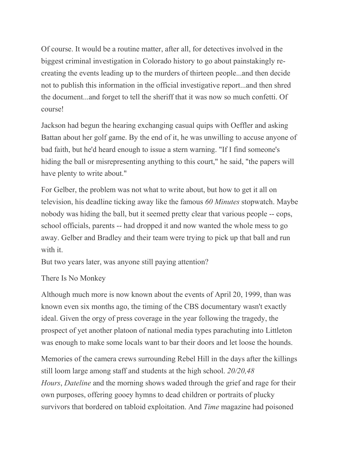Of course. It would be a routine matter, after all, for detectives involved in the biggest criminal investigation in Colorado history to go about painstakingly recreating the events leading up to the murders of thirteen people...and then decide not to publish this information in the official investigative report...and then shred the document...and forget to tell the sheriff that it was now so much confetti. Of course!

Jackson had begun the hearing exchanging casual quips with Oeffler and asking Battan about her golf game. By the end of it, he was unwilling to accuse anyone of bad faith, but he'd heard enough to issue a stern warning. "If I find someone's hiding the ball or misrepresenting anything to this court," he said, "the papers will have plenty to write about."

For Gelber, the problem was not what to write about, but how to get it all on television, his deadline ticking away like the famous *60 Minutes* stopwatch. Maybe nobody was hiding the ball, but it seemed pretty clear that various people -- cops, school officials, parents -- had dropped it and now wanted the whole mess to go away. Gelber and Bradley and their team were trying to pick up that ball and run with it.

But two years later, was anyone still paying attention?

## There Is No Monkey

Although much more is now known about the events of April 20, 1999, than was known even six months ago, the timing of the CBS documentary wasn't exactly ideal. Given the orgy of press coverage in the year following the tragedy, the prospect of yet another platoon of national media types parachuting into Littleton was enough to make some locals want to bar their doors and let loose the hounds.

Memories of the camera crews surrounding Rebel Hill in the days after the killings still loom large among staff and students at the high school. *20/20,48 Hours*, *Dateline* and the morning shows waded through the grief and rage for their own purposes, offering gooey hymns to dead children or portraits of plucky survivors that bordered on tabloid exploitation. And *Time* magazine had poisoned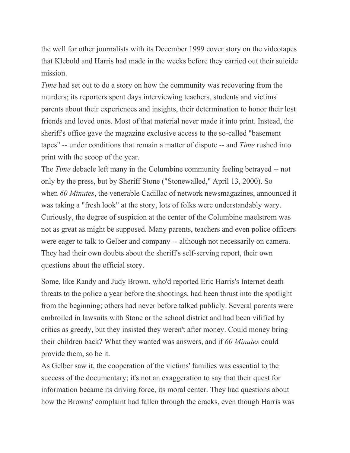the well for other journalists with its December 1999 cover story on the videotapes that Klebold and Harris had made in the weeks before they carried out their suicide mission.

*Time* had set out to do a story on how the community was recovering from the murders; its reporters spent days interviewing teachers, students and victims' parents about their experiences and insights, their determination to honor their lost friends and loved ones. Most of that material never made it into print. Instead, the sheriff's office gave the magazine exclusive access to the so-called "basement tapes" -- under conditions that remain a matter of dispute -- and *Time* rushed into print with the scoop of the year.

The *Time* debacle left many in the Columbine community feeling betrayed -- not only by the press, but by Sheriff Stone ("Stonewalled," April 13, 2000). So when *60 Minutes*, the venerable Cadillac of network newsmagazines, announced it was taking a "fresh look" at the story, lots of folks were understandably wary. Curiously, the degree of suspicion at the center of the Columbine maelstrom was not as great as might be supposed. Many parents, teachers and even police officers were eager to talk to Gelber and company -- although not necessarily on camera. They had their own doubts about the sheriff's self-serving report, their own questions about the official story.

Some, like Randy and Judy Brown, who'd reported Eric Harris's Internet death threats to the police a year before the shootings, had been thrust into the spotlight from the beginning; others had never before talked publicly. Several parents were embroiled in lawsuits with Stone or the school district and had been vilified by critics as greedy, but they insisted they weren't after money. Could money bring their children back? What they wanted was answers, and if *60 Minutes* could provide them, so be it.

As Gelber saw it, the cooperation of the victims' families was essential to the success of the documentary; it's not an exaggeration to say that their quest for information became its driving force, its moral center. They had questions about how the Browns' complaint had fallen through the cracks, even though Harris was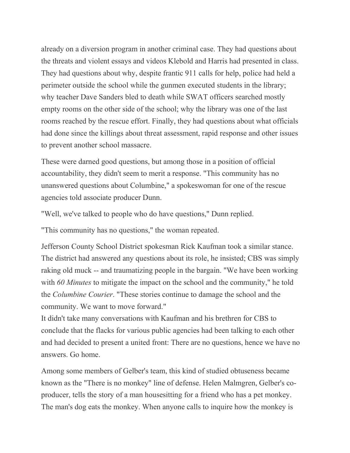already on a diversion program in another criminal case. They had questions about the threats and violent essays and videos Klebold and Harris had presented in class. They had questions about why, despite frantic 911 calls for help, police had held a perimeter outside the school while the gunmen executed students in the library; why teacher Dave Sanders bled to death while SWAT officers searched mostly empty rooms on the other side of the school; why the library was one of the last rooms reached by the rescue effort. Finally, they had questions about what officials had done since the killings about threat assessment, rapid response and other issues to prevent another school massacre.

These were darned good questions, but among those in a position of official accountability, they didn't seem to merit a response. "This community has no unanswered questions about Columbine," a spokeswoman for one of the rescue agencies told associate producer Dunn.

"Well, we've talked to people who do have questions," Dunn replied.

"This community has no questions," the woman repeated.

Jefferson County School District spokesman Rick Kaufman took a similar stance. The district had answered any questions about its role, he insisted; CBS was simply raking old muck -- and traumatizing people in the bargain. "We have been working with *60 Minutes* to mitigate the impact on the school and the community," he told the *Columbine Courier*. "These stories continue to damage the school and the community. We want to move forward."

It didn't take many conversations with Kaufman and his brethren for CBS to conclude that the flacks for various public agencies had been talking to each other and had decided to present a united front: There are no questions, hence we have no answers. Go home.

Among some members of Gelber's team, this kind of studied obtuseness became known as the "There is no monkey" line of defense. Helen Malmgren, Gelber's coproducer, tells the story of a man housesitting for a friend who has a pet monkey. The man's dog eats the monkey. When anyone calls to inquire how the monkey is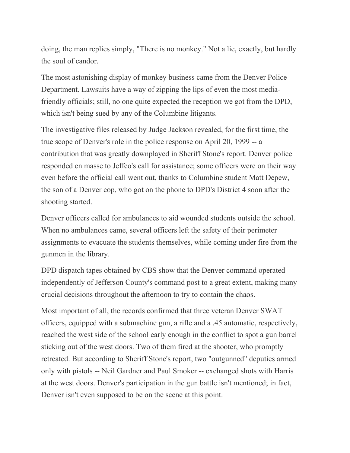doing, the man replies simply, "There is no monkey." Not a lie, exactly, but hardly the soul of candor.

The most astonishing display of monkey business came from the Denver Police Department. Lawsuits have a way of zipping the lips of even the most mediafriendly officials; still, no one quite expected the reception we got from the DPD, which isn't being sued by any of the Columbine litigants.

The investigative files released by Judge Jackson revealed, for the first time, the true scope of Denver's role in the police response on April 20, 1999 -- a contribution that was greatly downplayed in Sheriff Stone's report. Denver police responded en masse to Jeffco's call for assistance; some officers were on their way even before the official call went out, thanks to Columbine student Matt Depew, the son of a Denver cop, who got on the phone to DPD's District 4 soon after the shooting started.

Denver officers called for ambulances to aid wounded students outside the school. When no ambulances came, several officers left the safety of their perimeter assignments to evacuate the students themselves, while coming under fire from the gunmen in the library.

DPD dispatch tapes obtained by CBS show that the Denver command operated independently of Jefferson County's command post to a great extent, making many crucial decisions throughout the afternoon to try to contain the chaos.

Most important of all, the records confirmed that three veteran Denver SWAT officers, equipped with a submachine gun, a rifle and a .45 automatic, respectively, reached the west side of the school early enough in the conflict to spot a gun barrel sticking out of the west doors. Two of them fired at the shooter, who promptly retreated. But according to Sheriff Stone's report, two "outgunned" deputies armed only with pistols -- Neil Gardner and Paul Smoker -- exchanged shots with Harris at the west doors. Denver's participation in the gun battle isn't mentioned; in fact, Denver isn't even supposed to be on the scene at this point.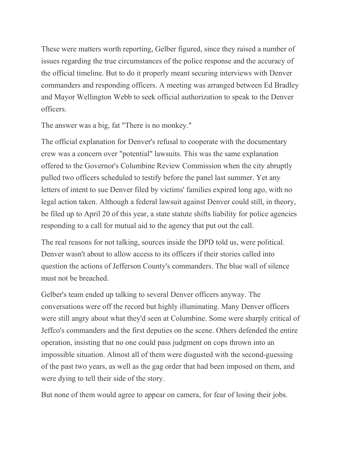These were matters worth reporting, Gelber figured, since they raised a number of issues regarding the true circumstances of the police response and the accuracy of the official timeline. But to do it properly meant securing interviews with Denver commanders and responding officers. A meeting was arranged between Ed Bradley and Mayor Wellington Webb to seek official authorization to speak to the Denver officers.

The answer was a big, fat "There is no monkey."

The official explanation for Denver's refusal to cooperate with the documentary crew was a concern over "potential" lawsuits. This was the same explanation offered to the Governor's Columbine Review Commission when the city abruptly pulled two officers scheduled to testify before the panel last summer. Yet any letters of intent to sue Denver filed by victims' families expired long ago, with no legal action taken. Although a federal lawsuit against Denver could still, in theory, be filed up to April 20 of this year, a state statute shifts liability for police agencies responding to a call for mutual aid to the agency that put out the call.

The real reasons for not talking, sources inside the DPD told us, were political. Denver wasn't about to allow access to its officers if their stories called into question the actions of Jefferson County's commanders. The blue wall of silence must not be breached.

Gelber's team ended up talking to several Denver officers anyway. The conversations were off the record but highly illuminating. Many Denver officers were still angry about what they'd seen at Columbine. Some were sharply critical of Jeffco's commanders and the first deputies on the scene. Others defended the entire operation, insisting that no one could pass judgment on cops thrown into an impossible situation. Almost all of them were disgusted with the second-guessing of the past two years, as well as the gag order that had been imposed on them, and were dying to tell their side of the story.

But none of them would agree to appear on camera, for fear of losing their jobs.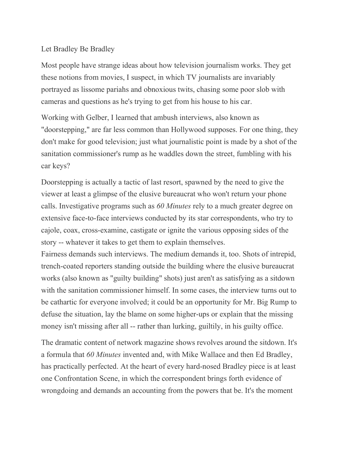## Let Bradley Be Bradley

Most people have strange ideas about how television journalism works. They get these notions from movies, I suspect, in which TV journalists are invariably portrayed as lissome pariahs and obnoxious twits, chasing some poor slob with cameras and questions as he's trying to get from his house to his car.

Working with Gelber, I learned that ambush interviews, also known as "doorstepping," are far less common than Hollywood supposes. For one thing, they don't make for good television; just what journalistic point is made by a shot of the sanitation commissioner's rump as he waddles down the street, fumbling with his car keys?

Doorstepping is actually a tactic of last resort, spawned by the need to give the viewer at least a glimpse of the elusive bureaucrat who won't return your phone calls. Investigative programs such as *60 Minutes* rely to a much greater degree on extensive face-to-face interviews conducted by its star correspondents, who try to cajole, coax, cross-examine, castigate or ignite the various opposing sides of the story -- whatever it takes to get them to explain themselves.

Fairness demands such interviews. The medium demands it, too. Shots of intrepid, trench-coated reporters standing outside the building where the elusive bureaucrat works (also known as "guilty building" shots) just aren't as satisfying as a sitdown with the sanitation commissioner himself. In some cases, the interview turns out to be cathartic for everyone involved; it could be an opportunity for Mr. Big Rump to defuse the situation, lay the blame on some higher-ups or explain that the missing money isn't missing after all -- rather than lurking, guiltily, in his guilty office.

The dramatic content of network magazine shows revolves around the sitdown. It's a formula that *60 Minutes* invented and, with Mike Wallace and then Ed Bradley, has practically perfected. At the heart of every hard-nosed Bradley piece is at least one Confrontation Scene, in which the correspondent brings forth evidence of wrongdoing and demands an accounting from the powers that be. It's the moment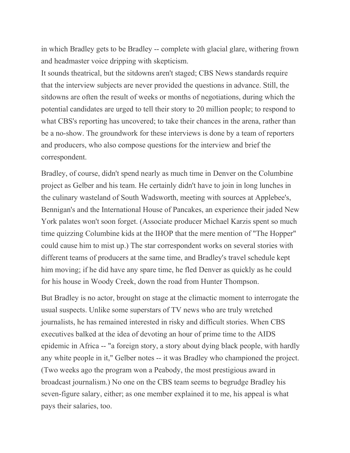in which Bradley gets to be Bradley -- complete with glacial glare, withering frown and headmaster voice dripping with skepticism.

It sounds theatrical, but the sitdowns aren't staged; CBS News standards require that the interview subjects are never provided the questions in advance. Still, the sitdowns are often the result of weeks or months of negotiations, during which the potential candidates are urged to tell their story to 20 million people; to respond to what CBS's reporting has uncovered; to take their chances in the arena, rather than be a no-show. The groundwork for these interviews is done by a team of reporters and producers, who also compose questions for the interview and brief the correspondent.

Bradley, of course, didn't spend nearly as much time in Denver on the Columbine project as Gelber and his team. He certainly didn't have to join in long lunches in the culinary wasteland of South Wadsworth, meeting with sources at Applebee's, Bennigan's and the International House of Pancakes, an experience their jaded New York palates won't soon forget. (Associate producer Michael Karzis spent so much time quizzing Columbine kids at the IHOP that the mere mention of "The Hopper" could cause him to mist up.) The star correspondent works on several stories with different teams of producers at the same time, and Bradley's travel schedule kept him moving; if he did have any spare time, he fled Denver as quickly as he could for his house in Woody Creek, down the road from Hunter Thompson.

But Bradley is no actor, brought on stage at the climactic moment to interrogate the usual suspects. Unlike some superstars of TV news who are truly wretched journalists, he has remained interested in risky and difficult stories. When CBS executives balked at the idea of devoting an hour of prime time to the AIDS epidemic in Africa -- "a foreign story, a story about dying black people, with hardly any white people in it," Gelber notes -- it was Bradley who championed the project. (Two weeks ago the program won a Peabody, the most prestigious award in broadcast journalism.) No one on the CBS team seems to begrudge Bradley his seven-figure salary, either; as one member explained it to me, his appeal is what pays their salaries, too.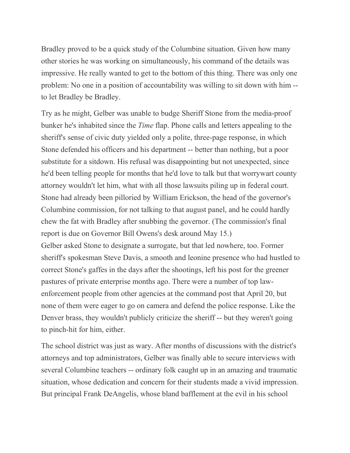Bradley proved to be a quick study of the Columbine situation. Given how many other stories he was working on simultaneously, his command of the details was impressive. He really wanted to get to the bottom of this thing. There was only one problem: No one in a position of accountability was willing to sit down with him - to let Bradley be Bradley.

Try as he might, Gelber was unable to budge Sheriff Stone from the media-proof bunker he's inhabited since the *Time* flap. Phone calls and letters appealing to the sheriff's sense of civic duty yielded only a polite, three-page response, in which Stone defended his officers and his department -- better than nothing, but a poor substitute for a sitdown. His refusal was disappointing but not unexpected, since he'd been telling people for months that he'd love to talk but that worrywart county attorney wouldn't let him, what with all those lawsuits piling up in federal court. Stone had already been pilloried by William Erickson, the head of the governor's Columbine commission, for not talking to that august panel, and he could hardly chew the fat with Bradley after snubbing the governor. (The commission's final report is due on Governor Bill Owens's desk around May 15.) Gelber asked Stone to designate a surrogate, but that led nowhere, too. Former sheriff's spokesman Steve Davis, a smooth and leonine presence who had hustled to correct Stone's gaffes in the days after the shootings, left his post for the greener pastures of private enterprise months ago. There were a number of top lawenforcement people from other agencies at the command post that April 20, but none of them were eager to go on camera and defend the police response. Like the Denver brass, they wouldn't publicly criticize the sheriff -- but they weren't going to pinch-hit for him, either.

The school district was just as wary. After months of discussions with the district's attorneys and top administrators, Gelber was finally able to secure interviews with several Columbine teachers -- ordinary folk caught up in an amazing and traumatic situation, whose dedication and concern for their students made a vivid impression. But principal Frank DeAngelis, whose bland bafflement at the evil in his school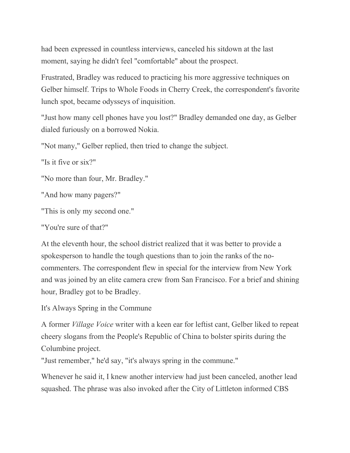had been expressed in countless interviews, canceled his sitdown at the last moment, saying he didn't feel "comfortable" about the prospect.

Frustrated, Bradley was reduced to practicing his more aggressive techniques on Gelber himself. Trips to Whole Foods in Cherry Creek, the correspondent's favorite lunch spot, became odysseys of inquisition.

"Just how many cell phones have you lost?" Bradley demanded one day, as Gelber dialed furiously on a borrowed Nokia.

"Not many," Gelber replied, then tried to change the subject.

"Is it five or six?"

"No more than four, Mr. Bradley."

"And how many pagers?"

"This is only my second one."

"You're sure of that?"

At the eleventh hour, the school district realized that it was better to provide a spokesperson to handle the tough questions than to join the ranks of the nocommenters. The correspondent flew in special for the interview from New York and was joined by an elite camera crew from San Francisco. For a brief and shining hour, Bradley got to be Bradley.

It's Always Spring in the Commune

A former *Village Voice* writer with a keen ear for leftist cant, Gelber liked to repeat cheery slogans from the People's Republic of China to bolster spirits during the Columbine project.

"Just remember," he'd say, "it's always spring in the commune."

Whenever he said it, I knew another interview had just been canceled, another lead squashed. The phrase was also invoked after the City of Littleton informed CBS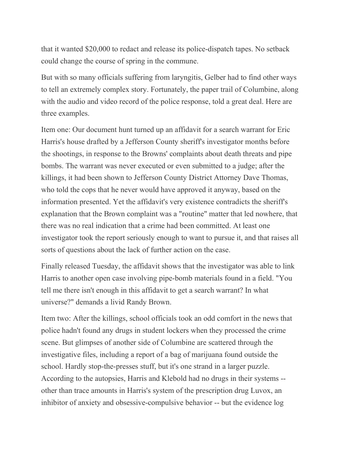that it wanted \$20,000 to redact and release its police-dispatch tapes. No setback could change the course of spring in the commune.

But with so many officials suffering from laryngitis, Gelber had to find other ways to tell an extremely complex story. Fortunately, the paper trail of Columbine, along with the audio and video record of the police response, told a great deal. Here are three examples.

Item one: Our document hunt turned up an affidavit for a search warrant for Eric Harris's house drafted by a Jefferson County sheriff's investigator months before the shootings, in response to the Browns' complaints about death threats and pipe bombs. The warrant was never executed or even submitted to a judge; after the killings, it had been shown to Jefferson County District Attorney Dave Thomas, who told the cops that he never would have approved it anyway, based on the information presented. Yet the affidavit's very existence contradicts the sheriff's explanation that the Brown complaint was a "routine" matter that led nowhere, that there was no real indication that a crime had been committed. At least one investigator took the report seriously enough to want to pursue it, and that raises all sorts of questions about the lack of further action on the case.

Finally released Tuesday, the affidavit shows that the investigator was able to link Harris to another open case involving pipe-bomb materials found in a field. "You tell me there isn't enough in this affidavit to get a search warrant? In what universe?" demands a livid Randy Brown.

Item two: After the killings, school officials took an odd comfort in the news that police hadn't found any drugs in student lockers when they processed the crime scene. But glimpses of another side of Columbine are scattered through the investigative files, including a report of a bag of marijuana found outside the school. Hardly stop-the-presses stuff, but it's one strand in a larger puzzle. According to the autopsies, Harris and Klebold had no drugs in their systems - other than trace amounts in Harris's system of the prescription drug Luvox, an inhibitor of anxiety and obsessive-compulsive behavior -- but the evidence log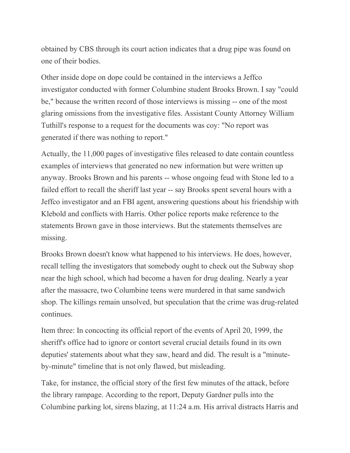obtained by CBS through its court action indicates that a drug pipe was found on one of their bodies.

Other inside dope on dope could be contained in the interviews a Jeffco investigator conducted with former Columbine student Brooks Brown. I say "could be," because the written record of those interviews is missing -- one of the most glaring omissions from the investigative files. Assistant County Attorney William Tuthill's response to a request for the documents was coy: "No report was generated if there was nothing to report."

Actually, the 11,000 pages of investigative files released to date contain countless examples of interviews that generated no new information but were written up anyway. Brooks Brown and his parents -- whose ongoing feud with Stone led to a failed effort to recall the sheriff last year -- say Brooks spent several hours with a Jeffco investigator and an FBI agent, answering questions about his friendship with Klebold and conflicts with Harris. Other police reports make reference to the statements Brown gave in those interviews. But the statements themselves are missing.

Brooks Brown doesn't know what happened to his interviews. He does, however, recall telling the investigators that somebody ought to check out the Subway shop near the high school, which had become a haven for drug dealing. Nearly a year after the massacre, two Columbine teens were murdered in that same sandwich shop. The killings remain unsolved, but speculation that the crime was drug-related continues.

Item three: In concocting its official report of the events of April 20, 1999, the sheriff's office had to ignore or contort several crucial details found in its own deputies' statements about what they saw, heard and did. The result is a "minuteby-minute" timeline that is not only flawed, but misleading.

Take, for instance, the official story of the first few minutes of the attack, before the library rampage. According to the report, Deputy Gardner pulls into the Columbine parking lot, sirens blazing, at 11:24 a.m. His arrival distracts Harris and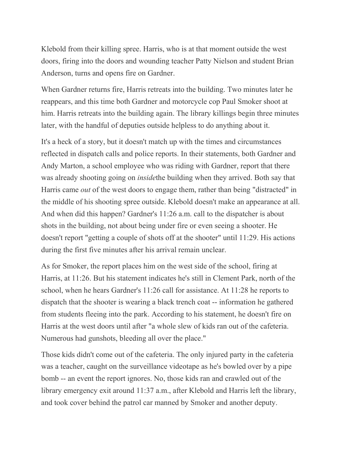Klebold from their killing spree. Harris, who is at that moment outside the west doors, firing into the doors and wounding teacher Patty Nielson and student Brian Anderson, turns and opens fire on Gardner.

When Gardner returns fire, Harris retreats into the building. Two minutes later he reappears, and this time both Gardner and motorcycle cop Paul Smoker shoot at him. Harris retreats into the building again. The library killings begin three minutes later, with the handful of deputies outside helpless to do anything about it.

It's a heck of a story, but it doesn't match up with the times and circumstances reflected in dispatch calls and police reports. In their statements, both Gardner and Andy Marton, a school employee who was riding with Gardner, report that there was already shooting going on *inside*the building when they arrived. Both say that Harris came *out* of the west doors to engage them, rather than being "distracted" in the middle of his shooting spree outside. Klebold doesn't make an appearance at all. And when did this happen? Gardner's 11:26 a.m. call to the dispatcher is about shots in the building, not about being under fire or even seeing a shooter. He doesn't report "getting a couple of shots off at the shooter" until 11:29. His actions during the first five minutes after his arrival remain unclear.

As for Smoker, the report places him on the west side of the school, firing at Harris, at 11:26. But his statement indicates he's still in Clement Park, north of the school, when he hears Gardner's 11:26 call for assistance. At 11:28 he reports to dispatch that the shooter is wearing a black trench coat -- information he gathered from students fleeing into the park. According to his statement, he doesn't fire on Harris at the west doors until after "a whole slew of kids ran out of the cafeteria. Numerous had gunshots, bleeding all over the place."

Those kids didn't come out of the cafeteria. The only injured party in the cafeteria was a teacher, caught on the surveillance videotape as he's bowled over by a pipe bomb -- an event the report ignores. No, those kids ran and crawled out of the library emergency exit around 11:37 a.m., after Klebold and Harris left the library, and took cover behind the patrol car manned by Smoker and another deputy.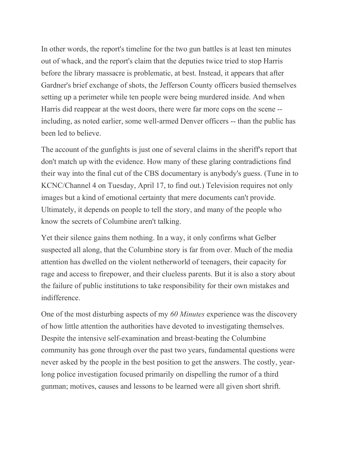In other words, the report's timeline for the two gun battles is at least ten minutes out of whack, and the report's claim that the deputies twice tried to stop Harris before the library massacre is problematic, at best. Instead, it appears that after Gardner's brief exchange of shots, the Jefferson County officers busied themselves setting up a perimeter while ten people were being murdered inside. And when Harris did reappear at the west doors, there were far more cops on the scene - including, as noted earlier, some well-armed Denver officers -- than the public has been led to believe.

The account of the gunfights is just one of several claims in the sheriff's report that don't match up with the evidence. How many of these glaring contradictions find their way into the final cut of the CBS documentary is anybody's guess. (Tune in to KCNC/Channel 4 on Tuesday, April 17, to find out.) Television requires not only images but a kind of emotional certainty that mere documents can't provide. Ultimately, it depends on people to tell the story, and many of the people who know the secrets of Columbine aren't talking.

Yet their silence gains them nothing. In a way, it only confirms what Gelber suspected all along, that the Columbine story is far from over. Much of the media attention has dwelled on the violent netherworld of teenagers, their capacity for rage and access to firepower, and their clueless parents. But it is also a story about the failure of public institutions to take responsibility for their own mistakes and indifference.

One of the most disturbing aspects of my *60 Minutes* experience was the discovery of how little attention the authorities have devoted to investigating themselves. Despite the intensive self-examination and breast-beating the Columbine community has gone through over the past two years, fundamental questions were never asked by the people in the best position to get the answers. The costly, yearlong police investigation focused primarily on dispelling the rumor of a third gunman; motives, causes and lessons to be learned were all given short shrift.